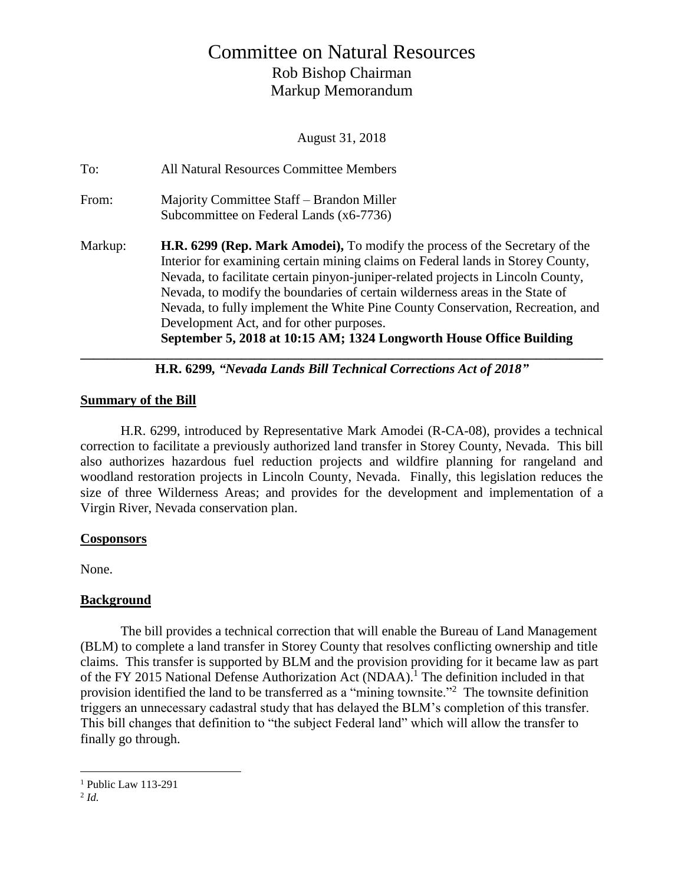# Committee on Natural Resources Rob Bishop Chairman Markup Memorandum

August 31, 2018

| To:     | All Natural Resources Committee Members                                                                                                                                                                                                                                                                                                                                                                                                                                                                                                         |
|---------|-------------------------------------------------------------------------------------------------------------------------------------------------------------------------------------------------------------------------------------------------------------------------------------------------------------------------------------------------------------------------------------------------------------------------------------------------------------------------------------------------------------------------------------------------|
| From:   | Majority Committee Staff – Brandon Miller<br>Subcommittee on Federal Lands (x6-7736)                                                                                                                                                                                                                                                                                                                                                                                                                                                            |
| Markup: | <b>H.R. 6299 (Rep. Mark Amodel)</b> , To modify the process of the Secretary of the<br>Interior for examining certain mining claims on Federal lands in Storey County,<br>Nevada, to facilitate certain pinyon-juniper-related projects in Lincoln County,<br>Nevada, to modify the boundaries of certain wilderness areas in the State of<br>Nevada, to fully implement the White Pine County Conservation, Recreation, and<br>Development Act, and for other purposes.<br>September 5, 2018 at 10:15 AM; 1324 Longworth House Office Building |

**H.R. 6299***, "Nevada Lands Bill Technical Corrections Act of 2018"*

## **Summary of the Bill**

H.R. 6299, introduced by Representative Mark Amodei (R-CA-08), provides a technical correction to facilitate a previously authorized land transfer in Storey County, Nevada. This bill also authorizes hazardous fuel reduction projects and wildfire planning for rangeland and woodland restoration projects in Lincoln County, Nevada. Finally, this legislation reduces the size of three Wilderness Areas; and provides for the development and implementation of a Virgin River, Nevada conservation plan.

#### **Cosponsors**

None.

## **Background**

The bill provides a technical correction that will enable the Bureau of Land Management (BLM) to complete a land transfer in Storey County that resolves conflicting ownership and title claims. This transfer is supported by BLM and the provision providing for it became law as part of the FY 2015 National Defense Authorization Act (NDAA). <sup>1</sup> The definition included in that provision identified the land to be transferred as a "mining townsite."<sup>2</sup> The townsite definition triggers an unnecessary cadastral study that has delayed the BLM's completion of this transfer. This bill changes that definition to "the subject Federal land" which will allow the transfer to finally go through.

 $\overline{a}$ 

 $<sup>1</sup>$  Public Law 113-291</sup>

<sup>2</sup> *Id.*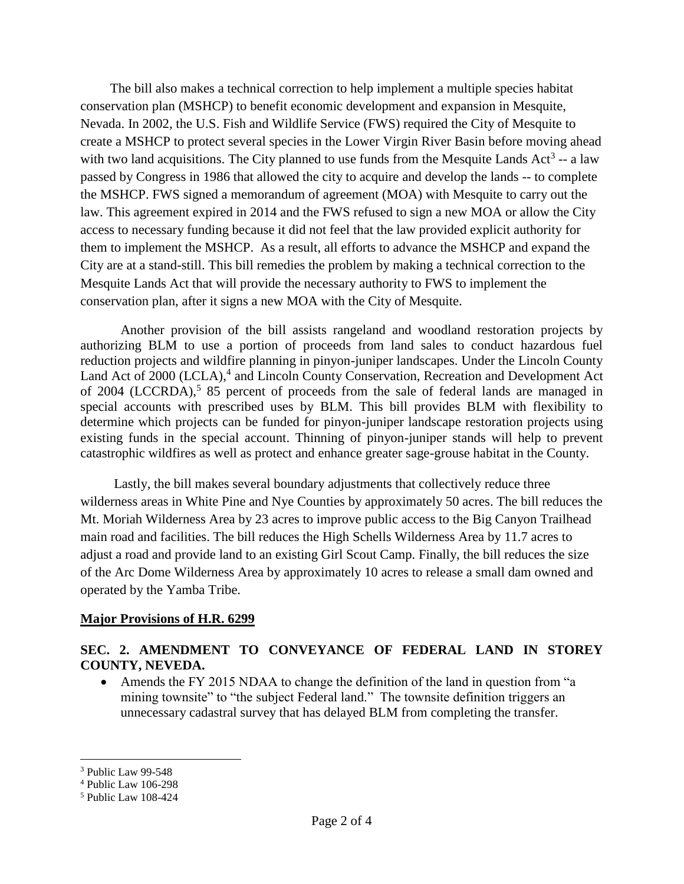The bill also makes a technical correction to help implement a multiple species habitat conservation plan (MSHCP) to benefit economic development and expansion in Mesquite, Nevada. In 2002, the U.S. Fish and Wildlife Service (FWS) required the City of Mesquite to create a MSHCP to protect several species in the Lower Virgin River Basin before moving ahead with two land acquisitions. The City planned to use funds from the Mesquite Lands Act<sup>3</sup> -- a law passed by Congress in 1986 that allowed the city to acquire and develop the lands -- to complete the MSHCP. FWS signed a memorandum of agreement (MOA) with Mesquite to carry out the law. This agreement expired in 2014 and the FWS refused to sign a new MOA or allow the City access to necessary funding because it did not feel that the law provided explicit authority for them to implement the MSHCP. As a result, all efforts to advance the MSHCP and expand the City are at a stand-still. This bill remedies the problem by making a technical correction to the Mesquite Lands Act that will provide the necessary authority to FWS to implement the conservation plan, after it signs a new MOA with the City of Mesquite.

Another provision of the bill assists rangeland and woodland restoration projects by authorizing BLM to use a portion of proceeds from land sales to conduct hazardous fuel reduction projects and wildfire planning in pinyon-juniper landscapes. Under the Lincoln County Land Act of 2000 (LCLA),<sup>4</sup> and Lincoln County Conservation, Recreation and Development Act of 2004 (LCCRDA),<sup>5</sup> 85 percent of proceeds from the sale of federal lands are managed in special accounts with prescribed uses by BLM. This bill provides BLM with flexibility to determine which projects can be funded for pinyon-juniper landscape restoration projects using existing funds in the special account. Thinning of pinyon-juniper stands will help to prevent catastrophic wildfires as well as protect and enhance greater sage-grouse habitat in the County.

 Lastly, the bill makes several boundary adjustments that collectively reduce three wilderness areas in White Pine and Nye Counties by approximately 50 acres. The bill reduces the Mt. Moriah Wilderness Area by 23 acres to improve public access to the Big Canyon Trailhead main road and facilities. The bill reduces the High Schells Wilderness Area by 11.7 acres to adjust a road and provide land to an existing Girl Scout Camp. Finally, the bill reduces the size of the Arc Dome Wilderness Area by approximately 10 acres to release a small dam owned and operated by the Yamba Tribe.

#### **Major Provisions of H.R. 6299**

#### **SEC. 2. AMENDMENT TO CONVEYANCE OF FEDERAL LAND IN STOREY COUNTY, NEVEDA.**

• Amends the FY 2015 NDAA to change the definition of the land in question from "a mining townsite" to "the subject Federal land." The townsite definition triggers an unnecessary cadastral survey that has delayed BLM from completing the transfer.

 $\overline{a}$ 

<sup>&</sup>lt;sup>3</sup> Public Law 99-548

<sup>4</sup> Public Law 106-298

<sup>5</sup> Public Law 108-424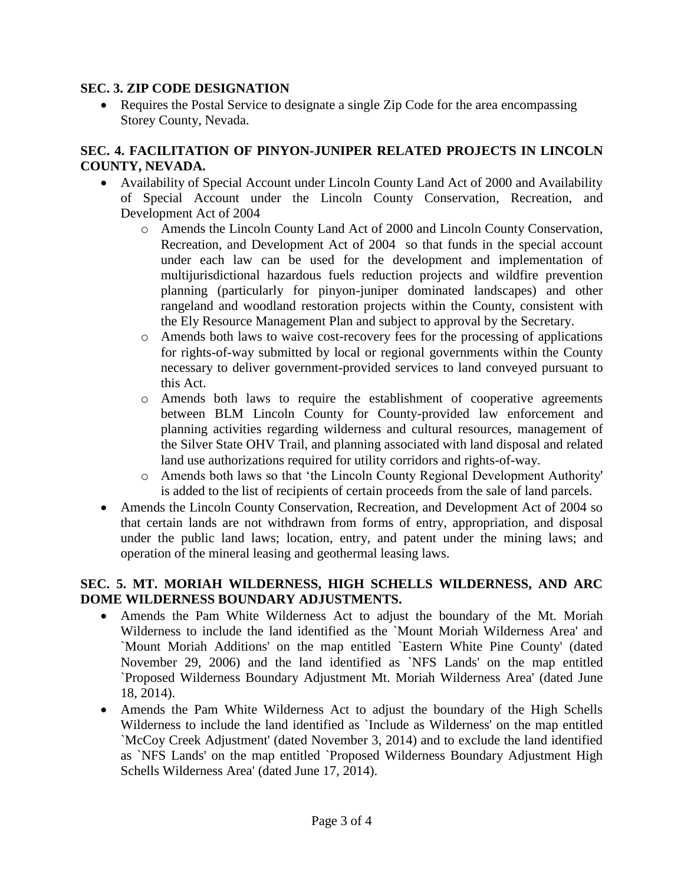#### **SEC. 3. ZIP CODE DESIGNATION**

• Requires the Postal Service to designate a single Zip Code for the area encompassing Storey County, Nevada.

## **SEC. 4. FACILITATION OF PINYON-JUNIPER RELATED PROJECTS IN LINCOLN COUNTY, NEVADA.**

- Availability of Special Account under Lincoln County Land Act of 2000 and Availability of Special Account under the Lincoln County Conservation, Recreation, and Development Act of 2004
	- o Amends the Lincoln County Land Act of 2000 and Lincoln County Conservation, Recreation, and Development Act of 2004 so that funds in the special account under each law can be used for the development and implementation of multijurisdictional hazardous fuels reduction projects and wildfire prevention planning (particularly for pinyon-juniper dominated landscapes) and other rangeland and woodland restoration projects within the County, consistent with the Ely Resource Management Plan and subject to approval by the Secretary.
	- o Amends both laws to waive cost-recovery fees for the processing of applications for rights-of-way submitted by local or regional governments within the County necessary to deliver government-provided services to land conveyed pursuant to this Act.
	- o Amends both laws to require the establishment of cooperative agreements between BLM Lincoln County for County-provided law enforcement and planning activities regarding wilderness and cultural resources, management of the Silver State OHV Trail, and planning associated with land disposal and related land use authorizations required for utility corridors and rights-of-way.
	- o Amends both laws so that 'the Lincoln County Regional Development Authority' is added to the list of recipients of certain proceeds from the sale of land parcels.
- Amends the Lincoln County Conservation, Recreation, and Development Act of 2004 so that certain lands are not withdrawn from forms of entry, appropriation, and disposal under the public land laws; location, entry, and patent under the mining laws; and operation of the mineral leasing and geothermal leasing laws.

# **SEC. 5. MT. MORIAH WILDERNESS, HIGH SCHELLS WILDERNESS, AND ARC DOME WILDERNESS BOUNDARY ADJUSTMENTS.**

- Amends the Pam White Wilderness Act to adjust the boundary of the Mt. Moriah Wilderness to include the land identified as the `Mount Moriah Wilderness Area' and `Mount Moriah Additions' on the map entitled `Eastern White Pine County' (dated November 29, 2006) and the land identified as `NFS Lands' on the map entitled `Proposed Wilderness Boundary Adjustment Mt. Moriah Wilderness Area' (dated June 18, 2014).
- Amends the Pam White Wilderness Act to adjust the boundary of the High Schells Wilderness to include the land identified as `Include as Wilderness' on the map entitled `McCoy Creek Adjustment' (dated November 3, 2014) and to exclude the land identified as `NFS Lands' on the map entitled `Proposed Wilderness Boundary Adjustment High Schells Wilderness Area' (dated June 17, 2014).